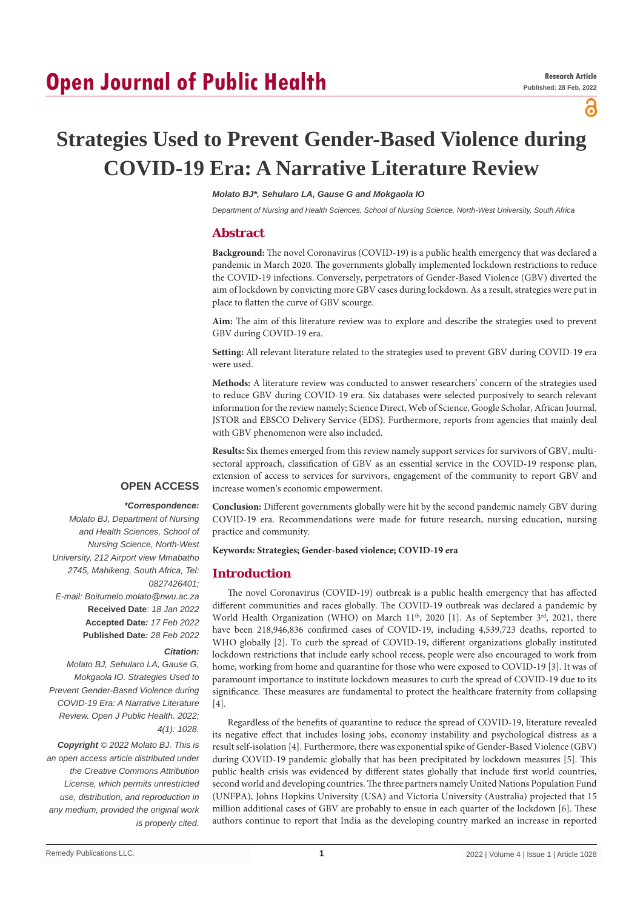## **Open Journal of Public Health**

႙

# **Strategies Used to Prevent Gender-Based Violence during COVID-19 Era: A Narrative Literature Review**

## *Molato BJ\*, Sehularo LA, Gause G and Mokgaola IO*

*Department of Nursing and Health Sciences, School of Nursing Science, North-West University, South Africa*

## **Abstract**

**Background:** The novel Coronavirus (COVID-19) is a public health emergency that was declared a pandemic in March 2020. The governments globally implemented lockdown restrictions to reduce the COVID-19 infections. Conversely, perpetrators of Gender-Based Violence (GBV) diverted the aim of lockdown by convicting more GBV cases during lockdown. As a result, strategies were put in place to flatten the curve of GBV scourge.

**Aim:** The aim of this literature review was to explore and describe the strategies used to prevent GBV during COVID-19 era.

**Setting:** All relevant literature related to the strategies used to prevent GBV during COVID-19 era were used.

**Methods:** A literature review was conducted to answer researchers' concern of the strategies used to reduce GBV during COVID-19 era. Six databases were selected purposively to search relevant information for the review namely; Science Direct, Web of Science, Google Scholar, African Journal, JSTOR and EBSCO Delivery Service (EDS). Furthermore, reports from agencies that mainly deal with GBV phenomenon were also included.

**Results:** Six themes emerged from this review namely support services for survivors of GBV, multisectoral approach, classification of GBV as an essential service in the COVID-19 response plan, extension of access to services for survivors, engagement of the community to report GBV and increase women's economic empowerment.

## **OPEN ACCESS**

#### *\*Correspondence:*

*Molato BJ, Department of Nursing and Health Sciences, School of Nursing Science, North-West University, 212 Airport view Mmabatho 2745, Mahikeng, South Africa, Tel: 0827426401; E-mail: Boitumelo.molato@nwu.ac.za* **Received Date**: *18 Jan 2022* **Accepted Date***: 17 Feb 2022* **Published Date***: 28 Feb 2022*

#### *Citation:*

*Molato BJ, Sehularo LA, Gause G, Mokgaola IO. Strategies Used to Prevent Gender-Based Violence during COVID-19 Era: A Narrative Literature Review. Open J Public Health. 2022; 4(1): 1028.*

*Copyright © 2022 Molato BJ. This is an open access article distributed under the Creative Commons Attribution License, which permits unrestricted use, distribution, and reproduction in any medium, provided the original work is properly cited.*

**Conclusion:** Different governments globally were hit by the second pandemic namely GBV during COVID-19 era. Recommendations were made for future research, nursing education, nursing practice and community.

#### **Keywords: Strategies; Gender-based violence; COVID-19 era**

## **Introduction**

The novel Coronavirus (COVID-19) outbreak is a public health emergency that has affected different communities and races globally. The COVID-19 outbreak was declared a pandemic by World Health Organization (WHO) on March  $11<sup>th</sup>$ , 2020 [1]. As of September  $3<sup>rd</sup>$ , 2021, there have been 218,946,836 confirmed cases of COVID-19, including 4,539,723 deaths, reported to WHO globally [2]. To curb the spread of COVID-19, different organizations globally instituted lockdown restrictions that include early school recess, people were also encouraged to work from home, working from home and quarantine for those who were exposed to COVID-19 [3]. It was of paramount importance to institute lockdown measures to curb the spread of COVID-19 due to its significance. These measures are fundamental to protect the healthcare fraternity from collapsing  $[4]$ .

Regardless of the benefits of quarantine to reduce the spread of COVID-19, literature revealed its negative effect that includes losing jobs, economy instability and psychological distress as a result self-isolation [4]. Furthermore, there was exponential spike of Gender-Based Violence (GBV) during COVID-19 pandemic globally that has been precipitated by lockdown measures [5]. This public health crisis was evidenced by different states globally that include first world countries, second world and developing countries. The three partners namely United Nations Population Fund (UNFPA), Johns Hopkins University (USA) and Victoria University (Australia) projected that 15 million additional cases of GBV are probably to ensue in each quarter of the lockdown [6]. These authors continue to report that India as the developing country marked an increase in reported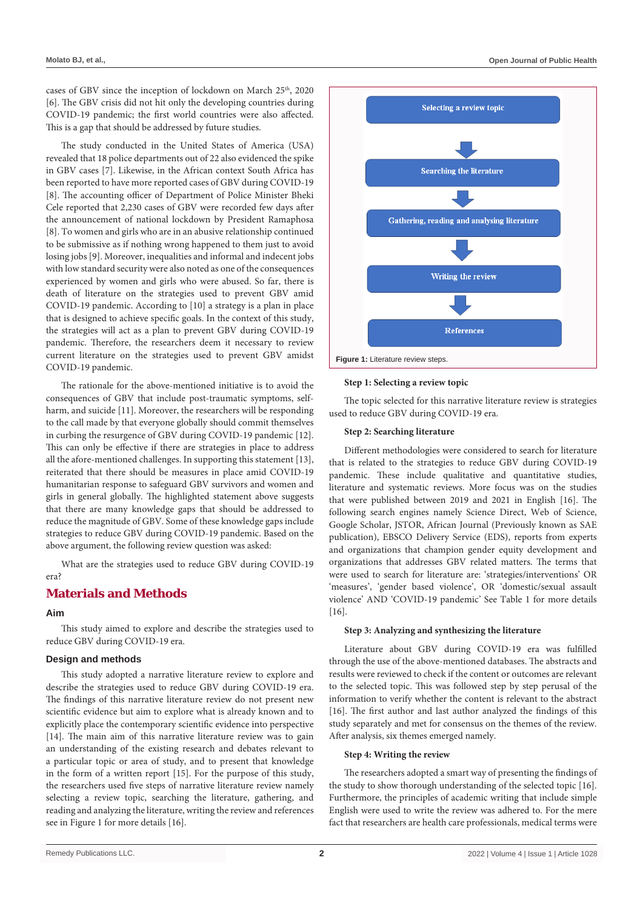cases of GBV since the inception of lockdown on March 25<sup>th</sup>, 2020 [6]. The GBV crisis did not hit only the developing countries during COVID-19 pandemic; the first world countries were also affected. This is a gap that should be addressed by future studies.

The study conducted in the United States of America (USA) revealed that 18 police departments out of 22 also evidenced the spike in GBV cases [7]. Likewise, in the African context South Africa has been reported to have more reported cases of GBV during COVID-19 [8]. The accounting officer of Department of Police Minister Bheki Cele reported that 2,230 cases of GBV were recorded few days after the announcement of national lockdown by President Ramaphosa [8]. To women and girls who are in an abusive relationship continued to be submissive as if nothing wrong happened to them just to avoid losing jobs [9]. Moreover, inequalities and informal and indecent jobs with low standard security were also noted as one of the consequences experienced by women and girls who were abused. So far, there is death of literature on the strategies used to prevent GBV amid COVID-19 pandemic. According to [10] a strategy is a plan in place that is designed to achieve specific goals. In the context of this study, the strategies will act as a plan to prevent GBV during COVID-19 pandemic. Therefore, the researchers deem it necessary to review current literature on the strategies used to prevent GBV amidst COVID-19 pandemic.

The rationale for the above-mentioned initiative is to avoid the consequences of GBV that include post-traumatic symptoms, selfharm, and suicide [11]. Moreover, the researchers will be responding to the call made by that everyone globally should commit themselves in curbing the resurgence of GBV during COVID-19 pandemic [12]. This can only be effective if there are strategies in place to address all the afore-mentioned challenges. In supporting this statement [13], reiterated that there should be measures in place amid COVID-19 humanitarian response to safeguard GBV survivors and women and girls in general globally. The highlighted statement above suggests that there are many knowledge gaps that should be addressed to reduce the magnitude of GBV. Some of these knowledge gaps include strategies to reduce GBV during COVID-19 pandemic. Based on the above argument, the following review question was asked:

What are the strategies used to reduce GBV during COVID-19 era?

## **Materials and Methods**

## **Aim**

This study aimed to explore and describe the strategies used to reduce GBV during COVID-19 era.

### **Design and methods**

This study adopted a narrative literature review to explore and describe the strategies used to reduce GBV during COVID-19 era. The findings of this narrative literature review do not present new scientific evidence but aim to explore what is already known and to explicitly place the contemporary scientific evidence into perspective [14]. The main aim of this narrative literature review was to gain an understanding of the existing research and debates relevant to a particular topic or area of study, and to present that knowledge in the form of a written report [15]. For the purpose of this study, the researchers used five steps of narrative literature review namely selecting a review topic, searching the literature, gathering, and reading and analyzing the literature, writing the review and references see in Figure 1 for more details [16].



#### **Step 1: Selecting a review topic**

The topic selected for this narrative literature review is strategies used to reduce GBV during COVID-19 era.

#### **Step 2: Searching literature**

Different methodologies were considered to search for literature that is related to the strategies to reduce GBV during COVID-19 pandemic. These include qualitative and quantitative studies, literature and systematic reviews. More focus was on the studies that were published between 2019 and 2021 in English [16]. The following search engines namely Science Direct, Web of Science, Google Scholar, JSTOR, African Journal (Previously known as SAE publication), EBSCO Delivery Service (EDS), reports from experts and organizations that champion gender equity development and organizations that addresses GBV related matters. The terms that were used to search for literature are: 'strategies/interventions' OR 'measures', 'gender based violence', OR 'domestic/sexual assault violence' AND 'COVID-19 pandemic' See Table 1 for more details [16].

#### **Step 3: Analyzing and synthesizing the literature**

Literature about GBV during COVID-19 era was fulfilled through the use of the above-mentioned databases. The abstracts and results were reviewed to check if the content or outcomes are relevant to the selected topic. This was followed step by step perusal of the information to verify whether the content is relevant to the abstract [16]. The first author and last author analyzed the findings of this study separately and met for consensus on the themes of the review. After analysis, six themes emerged namely.

#### **Step 4: Writing the review**

The researchers adopted a smart way of presenting the findings of the study to show thorough understanding of the selected topic [16]. Furthermore, the principles of academic writing that include simple English were used to write the review was adhered to. For the mere fact that researchers are health care professionals, medical terms were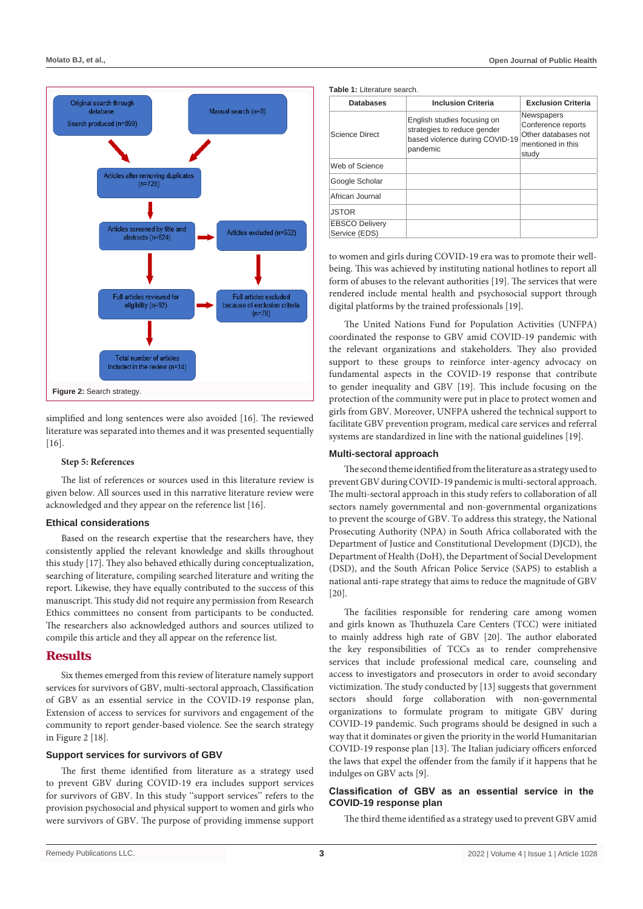

simplified and long sentences were also avoided [16]. The reviewed literature was separated into themes and it was presented sequentially [16].

#### **Step 5: References**

The list of references or sources used in this literature review is given below. All sources used in this narrative literature review were acknowledged and they appear on the reference list [16].

#### **Ethical considerations**

Based on the research expertise that the researchers have, they consistently applied the relevant knowledge and skills throughout this study [17]. They also behaved ethically during conceptualization, searching of literature, compiling searched literature and writing the report. Likewise, they have equally contributed to the success of this manuscript. This study did not require any permission from Research Ethics committees no consent from participants to be conducted. The researchers also acknowledged authors and sources utilized to compile this article and they all appear on the reference list.

### **Results**

Six themes emerged from this review of literature namely support services for survivors of GBV, multi-sectoral approach, Classification of GBV as an essential service in the COVID-19 response plan, Extension of access to services for survivors and engagement of the community to report gender-based violence. See the search strategy in Figure 2 [18].

#### **Support services for survivors of GBV**

The first theme identified from literature as a strategy used to prevent GBV during COVID-19 era includes support services for survivors of GBV. In this study ''support services'' refers to the provision psychosocial and physical support to women and girls who were survivors of GBV. The purpose of providing immense support **Table 1:** Literature search.

| <b>Databases</b>                       | <b>Inclusion Criteria</b>                                                                                | <b>Exclusion Criteria</b>                                                                    |
|----------------------------------------|----------------------------------------------------------------------------------------------------------|----------------------------------------------------------------------------------------------|
| <b>Science Direct</b>                  | English studies focusing on<br>strategies to reduce gender<br>based violence during COVID-19<br>pandemic | <b>Newspapers</b><br>Conference reports<br>Other databases not<br>mentioned in this<br>study |
| Web of Science                         |                                                                                                          |                                                                                              |
| Google Scholar                         |                                                                                                          |                                                                                              |
| African Journal                        |                                                                                                          |                                                                                              |
| <b>JSTOR</b>                           |                                                                                                          |                                                                                              |
| <b>EBSCO Delivery</b><br>Service (EDS) |                                                                                                          |                                                                                              |

to women and girls during COVID-19 era was to promote their wellbeing. This was achieved by instituting national hotlines to report all form of abuses to the relevant authorities [19]. The services that were rendered include mental health and psychosocial support through digital platforms by the trained professionals [19].

The United Nations Fund for Population Activities (UNFPA) coordinated the response to GBV amid COVID-19 pandemic with the relevant organizations and stakeholders. They also provided support to these groups to reinforce inter-agency advocacy on fundamental aspects in the COVID-19 response that contribute to gender inequality and GBV [19]. This include focusing on the protection of the community were put in place to protect women and girls from GBV. Moreover, UNFPA ushered the technical support to facilitate GBV prevention program, medical care services and referral systems are standardized in line with the national guidelines [19].

#### **Multi-sectoral approach**

The second theme identified from the literature as a strategy used to prevent GBV during COVID-19 pandemic is multi-sectoral approach. The multi-sectoral approach in this study refers to collaboration of all sectors namely governmental and non-governmental organizations to prevent the scourge of GBV. To address this strategy, the National Prosecuting Authority (NPA) in South Africa collaborated with the Department of Justice and Constitutional Development (DJCD), the Department of Health (DoH), the Department of Social Development (DSD), and the South African Police Service (SAPS) to establish a national anti-rape strategy that aims to reduce the magnitude of GBV [20].

The facilities responsible for rendering care among women and girls known as Thuthuzela Care Centers (TCC) were initiated to mainly address high rate of GBV [20]. The author elaborated the key responsibilities of TCCs as to render comprehensive services that include professional medical care, counseling and access to investigators and prosecutors in order to avoid secondary victimization. The study conducted by [13] suggests that government sectors should forge collaboration with non-governmental organizations to formulate program to mitigate GBV during COVID-19 pandemic. Such programs should be designed in such a way that it dominates or given the priority in the world Humanitarian COVID-19 response plan [13]. The Italian judiciary officers enforced the laws that expel the offender from the family if it happens that he indulges on GBV acts [9].

#### **Classification of GBV as an essential service in the COVID-19 response plan**

The third theme identified as a strategy used to prevent GBV amid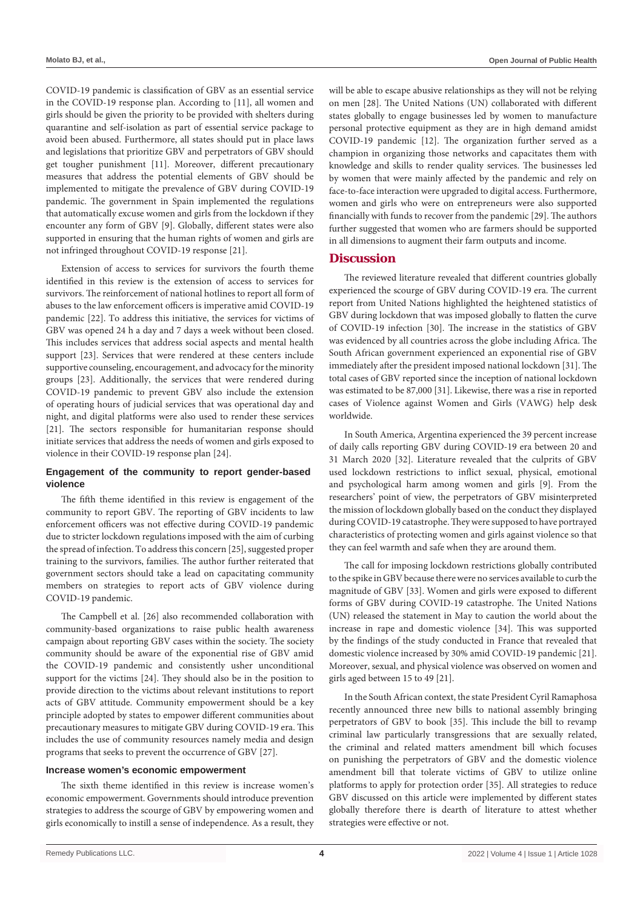COVID-19 pandemic is classification of GBV as an essential service in the COVID-19 response plan. According to [11], all women and girls should be given the priority to be provided with shelters during quarantine and self-isolation as part of essential service package to avoid been abused. Furthermore, all states should put in place laws and legislations that prioritize GBV and perpetrators of GBV should get tougher punishment [11]. Moreover, different precautionary measures that address the potential elements of GBV should be implemented to mitigate the prevalence of GBV during COVID-19 pandemic. The government in Spain implemented the regulations that automatically excuse women and girls from the lockdown if they encounter any form of GBV [9]. Globally, different states were also supported in ensuring that the human rights of women and girls are not infringed throughout COVID-19 response [21].

Extension of access to services for survivors the fourth theme identified in this review is the extension of access to services for survivors. The reinforcement of national hotlines to report all form of abuses to the law enforcement officers is imperative amid COVID-19 pandemic [22]. To address this initiative, the services for victims of GBV was opened 24 h a day and 7 days a week without been closed. This includes services that address social aspects and mental health support [23]. Services that were rendered at these centers include supportive counseling, encouragement, and advocacy for the minority groups [23]. Additionally, the services that were rendered during COVID-19 pandemic to prevent GBV also include the extension of operating hours of judicial services that was operational day and night, and digital platforms were also used to render these services [21]. The sectors responsible for humanitarian response should initiate services that address the needs of women and girls exposed to violence in their COVID-19 response plan [24].

## **Engagement of the community to report gender-based violence**

The fifth theme identified in this review is engagement of the community to report GBV. The reporting of GBV incidents to law enforcement officers was not effective during COVID-19 pandemic due to stricter lockdown regulations imposed with the aim of curbing the spread of infection. To address this concern [25], suggested proper training to the survivors, families. The author further reiterated that government sectors should take a lead on capacitating community members on strategies to report acts of GBV violence during COVID-19 pandemic.

The Campbell et al. [26] also recommended collaboration with community-based organizations to raise public health awareness campaign about reporting GBV cases within the society. The society community should be aware of the exponential rise of GBV amid the COVID-19 pandemic and consistently usher unconditional support for the victims [24]. They should also be in the position to provide direction to the victims about relevant institutions to report acts of GBV attitude. Community empowerment should be a key principle adopted by states to empower different communities about precautionary measures to mitigate GBV during COVID-19 era. This includes the use of community resources namely media and design programs that seeks to prevent the occurrence of GBV [27].

## **Increase women's economic empowerment**

The sixth theme identified in this review is increase women's economic empowerment. Governments should introduce prevention strategies to address the scourge of GBV by empowering women and girls economically to instill a sense of independence. As a result, they will be able to escape abusive relationships as they will not be relying on men [28]. The United Nations (UN) collaborated with different states globally to engage businesses led by women to manufacture personal protective equipment as they are in high demand amidst COVID-19 pandemic [12]. The organization further served as a champion in organizing those networks and capacitates them with knowledge and skills to render quality services. The businesses led by women that were mainly affected by the pandemic and rely on face-to-face interaction were upgraded to digital access. Furthermore, women and girls who were on entrepreneurs were also supported financially with funds to recover from the pandemic [29]. The authors further suggested that women who are farmers should be supported in all dimensions to augment their farm outputs and income.

## **Discussion**

The reviewed literature revealed that different countries globally experienced the scourge of GBV during COVID-19 era. The current report from United Nations highlighted the heightened statistics of GBV during lockdown that was imposed globally to flatten the curve of COVID-19 infection [30]. The increase in the statistics of GBV was evidenced by all countries across the globe including Africa. The South African government experienced an exponential rise of GBV immediately after the president imposed national lockdown [31]. The total cases of GBV reported since the inception of national lockdown was estimated to be 87,000 [31]. Likewise, there was a rise in reported cases of Violence against Women and Girls (VAWG) help desk worldwide.

In South America, Argentina experienced the 39 percent increase of daily calls reporting GBV during COVID-19 era between 20 and 31 March 2020 [32]. Literature revealed that the culprits of GBV used lockdown restrictions to inflict sexual, physical, emotional and psychological harm among women and girls [9]. From the researchers' point of view, the perpetrators of GBV misinterpreted the mission of lockdown globally based on the conduct they displayed during COVID-19 catastrophe. They were supposed to have portrayed characteristics of protecting women and girls against violence so that they can feel warmth and safe when they are around them.

The call for imposing lockdown restrictions globally contributed to the spike in GBV because there were no services available to curb the magnitude of GBV [33]. Women and girls were exposed to different forms of GBV during COVID-19 catastrophe. The United Nations (UN) released the statement in May to caution the world about the increase in rape and domestic violence [34]. This was supported by the findings of the study conducted in France that revealed that domestic violence increased by 30% amid COVID-19 pandemic [21]. Moreover, sexual, and physical violence was observed on women and girls aged between 15 to 49 [21].

In the South African context, the state President Cyril Ramaphosa recently announced three new bills to national assembly bringing perpetrators of GBV to book [35]. This include the bill to revamp criminal law particularly transgressions that are sexually related, the criminal and related matters amendment bill which focuses on punishing the perpetrators of GBV and the domestic violence amendment bill that tolerate victims of GBV to utilize online platforms to apply for protection order [35]. All strategies to reduce GBV discussed on this article were implemented by different states globally therefore there is dearth of literature to attest whether strategies were effective or not.